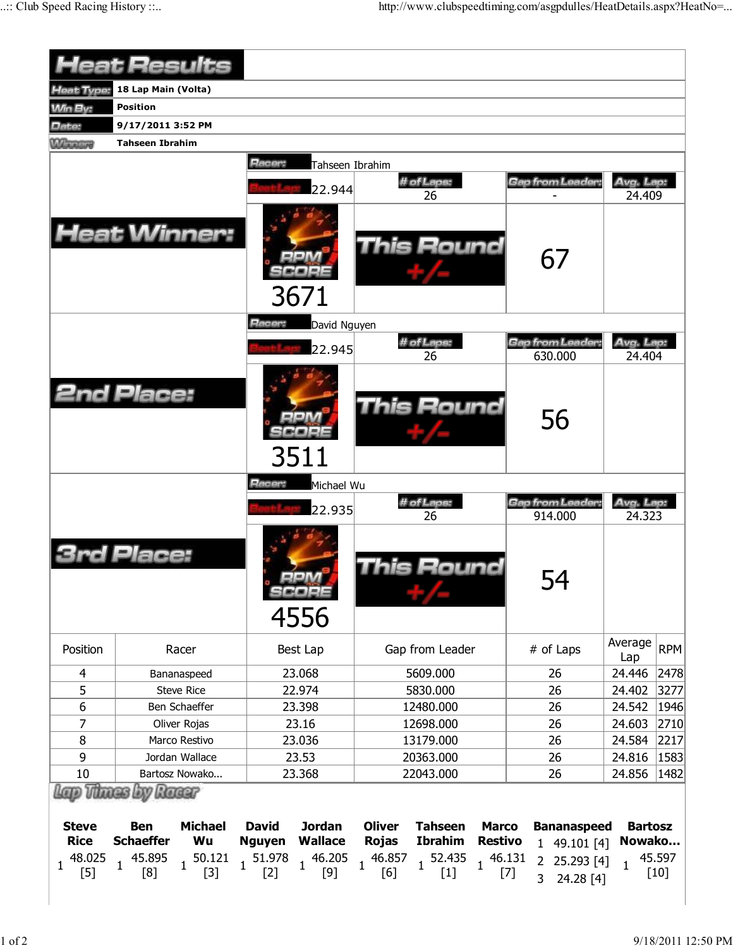| <b>Heat Results</b>           |                              |                                 |                                                                                       |                                      |                        |  |  |  |  |  |  |
|-------------------------------|------------------------------|---------------------------------|---------------------------------------------------------------------------------------|--------------------------------------|------------------------|--|--|--|--|--|--|
|                               |                              |                                 |                                                                                       |                                      |                        |  |  |  |  |  |  |
| <b>Heat Type:</b>             | 18 Lap Main (Volta)          |                                 |                                                                                       |                                      |                        |  |  |  |  |  |  |
| <b>Win By:</b>                | <b>Position</b>              |                                 |                                                                                       |                                      |                        |  |  |  |  |  |  |
| Date:                         | 9/17/2011 3:52 PM            |                                 |                                                                                       |                                      |                        |  |  |  |  |  |  |
| <b>William</b>                | <b>Tahseen Ibrahim</b>       |                                 |                                                                                       |                                      |                        |  |  |  |  |  |  |
|                               |                              | Racer:<br>Tahseen Ibrahim       |                                                                                       |                                      |                        |  |  |  |  |  |  |
|                               |                              | 22.944                          | # of Laps:                                                                            | <b>Gap from Leader:</b>              | Avg. Lap:              |  |  |  |  |  |  |
|                               |                              |                                 | 26                                                                                    |                                      | 24.409                 |  |  |  |  |  |  |
|                               | <b>Heat Winner:</b>          | 3671                            | <b>This Round</b>                                                                     | 67                                   |                        |  |  |  |  |  |  |
| <b>Racer:</b><br>David Nguyen |                              |                                 |                                                                                       |                                      |                        |  |  |  |  |  |  |
|                               |                              |                                 | # of Laps:                                                                            | Gap from Leader:                     | Avg. Lap:              |  |  |  |  |  |  |
|                               |                              | 22.945                          | 26                                                                                    | 630.000                              | 24.404                 |  |  |  |  |  |  |
|                               | <b>2nd Place:</b>            | 3511                            | <b>This Round</b>                                                                     | 56                                   |                        |  |  |  |  |  |  |
|                               |                              | Racer:<br>Michael Wu            |                                                                                       |                                      |                        |  |  |  |  |  |  |
|                               |                              | 22.935                          | # of Laps:                                                                            | Gap from Leader:                     | Avg. Lap:              |  |  |  |  |  |  |
|                               |                              |                                 | 26                                                                                    | 914.000                              | 24.323                 |  |  |  |  |  |  |
|                               | Place:                       | SCORE<br>4556                   | This Round                                                                            | 54                                   |                        |  |  |  |  |  |  |
| Position                      | Racer                        | Best Lap                        | Gap from Leader                                                                       | # of Laps                            | Average<br><b>RPM</b>  |  |  |  |  |  |  |
| 4                             | Bananaspeed                  | 23.068                          | 5609.000                                                                              | 26                                   | Lap<br>24.446<br>2478  |  |  |  |  |  |  |
| 5                             | <b>Steve Rice</b>            | 22.974                          | 5830.000                                                                              | 26                                   | 24.402<br>3277         |  |  |  |  |  |  |
| 6                             | Ben Schaeffer                | 23.398                          | 12480.000                                                                             | 26                                   | 24.542<br> 1946        |  |  |  |  |  |  |
| 7                             | Oliver Rojas                 | 23.16                           | 12698.000                                                                             | 26                                   | 24.603<br>2710         |  |  |  |  |  |  |
| 8                             | Marco Restivo                | 23.036                          | 13179.000                                                                             | 26                                   | 24.584<br>2217         |  |  |  |  |  |  |
| 9                             | Jordan Wallace               | 23.53                           | 20363.000                                                                             | 26                                   | 24.816<br>1583         |  |  |  |  |  |  |
| 10                            | Bartosz Nowako               | 23.368                          | 22043.000                                                                             | 26                                   | 24.856<br>1482         |  |  |  |  |  |  |
|                               | Thaces by Racer              |                                 |                                                                                       |                                      |                        |  |  |  |  |  |  |
| <b>Steve</b>                  | <b>Michael</b><br><b>Ben</b> | <b>David</b><br><b>Jordan</b>   | <b>Oliver</b><br><b>Marco</b><br><b>Tahseen</b>                                       | <b>Bananaspeed</b>                   | <b>Bartosz</b>         |  |  |  |  |  |  |
| <b>Rice</b>                   | <b>Schaeffer</b><br>Wu       | <b>Wallace</b><br><b>Nguyen</b> | Ibrahim<br><b>Restivo</b><br><b>Rojas</b>                                             | 1 49.101 [4]                         | Nowako                 |  |  |  |  |  |  |
| 48.025                        | 45.895<br>$1^{50.121}$       | 51.978                          | $1 \begin{matrix} 46.205 & 46.857 \\ 1 & 52 \end{matrix}$ 1<br>52.435<br>$1^{46.131}$ | 2 25.293 [4]                         | 45.597                 |  |  |  |  |  |  |
| $\mathbf{1}$<br>$[5]$         | $\mathbf{1}$<br>[8]<br>$[3]$ | $\mathbf{1}$<br>$[9]$<br>$[2]$  | [6]<br>$[1]$                                                                          | $[7]$<br>$\overline{3}$<br>24.28 [4] | $\mathbf{1}$<br>$[10]$ |  |  |  |  |  |  |
|                               |                              |                                 |                                                                                       |                                      |                        |  |  |  |  |  |  |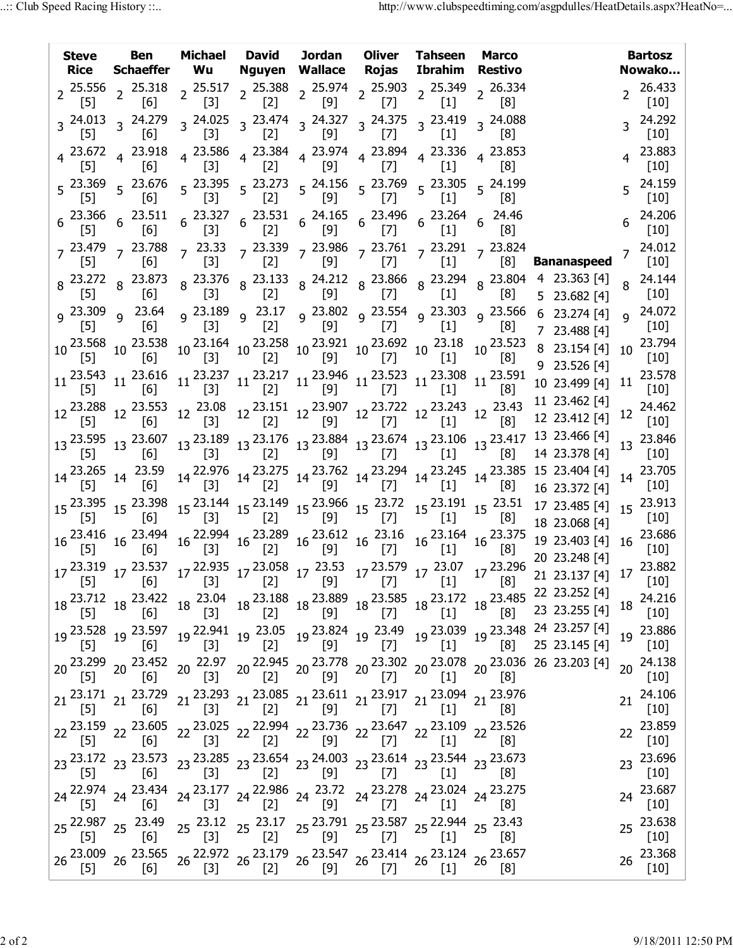| <b>Steve</b><br><b>Rice</b>                                                              | Ben<br>Schaeffer Wu | Michael                           | David<br><b>Nguyen Wallace</b>                                                                                                                                                                                                                                                                                                                                                                                          | Jordan | Oliver<br>Rojas        | Tahseen<br>Ibrahim Restivo | <b>Marco</b>                         |                                                                                                                                                                                                                                                                                                                                                                                                                                   |              | <b>Bartosz</b><br>Nowako |
|------------------------------------------------------------------------------------------|---------------------|-----------------------------------|-------------------------------------------------------------------------------------------------------------------------------------------------------------------------------------------------------------------------------------------------------------------------------------------------------------------------------------------------------------------------------------------------------------------------|--------|------------------------|----------------------------|--------------------------------------|-----------------------------------------------------------------------------------------------------------------------------------------------------------------------------------------------------------------------------------------------------------------------------------------------------------------------------------------------------------------------------------------------------------------------------------|--------------|--------------------------|
| $[5]$                                                                                    | [6]                 | $\left[3\right]$                  | $2\frac{25.556}{5}$ $2\frac{25.318}{5}$ $2\frac{25.517}{5}$ $2\frac{25.388}{5}$ $2\frac{25.974}{5}$ $2\frac{25.903}{5}$ $2\frac{25.349}{5}$<br>[2]                                                                                                                                                                                                                                                                      | [9]    | $[7]$                  | $[1]$                      | $2^{26.334}$<br>[8]                  |                                                                                                                                                                                                                                                                                                                                                                                                                                   |              | 26.433<br>$[10]$         |
| $3\frac{24.013}{5}$ $3\frac{24.279}{5}$<br>$[5]$                                         | [6]                 | $\left[3\right]$                  | $3\begin{array}{cc} 3.24.025 \\ 3.523 \end{array}$ 3 $3\begin{array}{cc} 24.327 \\ 3.523 \end{array}$ 3 $3\begin{array}{cc} 24.375 \\ 3.533 \end{array}$ 3 $3\begin{array}{cc} 23.419 \\ 53.53 \end{array}$<br>[2]                                                                                                                                                                                                      | [9]    | $\lfloor \ell \rfloor$ | $[1]$                      | 3 24.088<br>$\lfloor 8 \rfloor$      |                                                                                                                                                                                                                                                                                                                                                                                                                                   |              | 24.292<br>$[10]$         |
| $4\begin{array}{l} 23.672 \\ -7.7 \end{array}$ 4 23.918<br>$[5]$                         | [6]                 | $\begin{bmatrix} 3 \end{bmatrix}$ | $4\begin{array}{cccc} 23.586 & 4 \end{array}$ $\begin{array}{cccc} 23.384 & 23.974 & 23.894 & 4 \end{array}$ $\begin{array}{cccc} 23.336 & 4 \end{array}$ $\begin{array}{cccc} 23.853 & 4 \end{array}$<br>[2]                                                                                                                                                                                                           | [9]    | [7]                    | $[1]$                      | 181                                  |                                                                                                                                                                                                                                                                                                                                                                                                                                   |              | 23.883<br>[10]           |
| $[5]$                                                                                    | [6]                 | $[3]$                             | $5\begin{array}{ccccc} 23.369 & 23.676 & 23.395 & 523.273 & 24.156 & 523.769 & 523.305 & 524.199 \ \end{array}$<br>$[2]$                                                                                                                                                                                                                                                                                                | [9]    | $[7]$                  | $[1]$                      | [8]                                  |                                                                                                                                                                                                                                                                                                                                                                                                                                   |              | 24.159<br>$[10]$         |
| $6\begin{array}{l} 23.366 \\ 6 \end{array}$ $6\begin{array}{l} 23.511 \\ 56 \end{array}$ |                     | $[3]$                             | $6\begin{array}{@{}c@{\hspace{1em}}c@{\hspace{1em}}l@{\hspace{1em}}l@{\hspace{1em}}l@{\hspace{1em}}l@{\hspace{1em}}l@{\hspace{1em}}l@{\hspace{1em}}l@{\hspace{1em}}l@{\hspace{1em}}l@{\hspace{1em}}l@{\hspace{1em}}l@{\hspace{1em}}l@{\hspace{1em}}l@{\hspace{1em}}l@{\hspace{1em}}l@{\hspace{1em}}l@{\hspace{1em}}l@{\hspace{1em}}l@{\hspace{1em}}l@{\hspace{1em}}l@{\hspace{1em}}l@{\hspace{1em}}l@{\hspace$<br>$[2]$ | [9]    |                        |                            | $6^{24.46}$                          |                                                                                                                                                                                                                                                                                                                                                                                                                                   |              | 24.206<br>$[10]$         |
| $\lfloor 5 \rfloor$                                                                      | [6]                 |                                   | 7 <sup>23.479</sup> 7 <sup>23.788</sup> 7 <sup>23.33</sup> 7 <sup>23.339</sup> 7 <sup>23.986</sup> 7 <sup>23.761</sup> 7 <sup>23.291</sup> 7 <sup>23.824</sup><br>[5]       [6]         [3]       [2]      [9]       [7]      [1]       [8]                                                                                                                                                                             |        | $[7]$                  | $[1]$                      | $\lceil 8 \rceil$                    |                                                                                                                                                                                                                                                                                                                                                                                                                                   |              | $7^{24.012}$             |
|                                                                                          |                     |                                   |                                                                                                                                                                                                                                                                                                                                                                                                                         |        |                        |                            |                                      | <b>Bananaspeed</b><br>8  23.272  8  23.873  8  23.376  8  23.133  8  24.212  8  23.866  8  23.294  8  23.804  4  23.363  [4]<br>[5]  8  [6]  8  [3]  8  [2]  8  [9]  8  [7]  8  [1]  8  [8]  5  23.682  [4]                                                                                                                                                                                                                       |              | $[10]$<br>24.144         |
|                                                                                          |                     |                                   | 9 23.309 و 23.554 و 23.802 و 23.17 و 23.189 و 23.64 و 23.309 و 23.309 و                                                                                                                                                                                                                                                                                                                                                 |        |                        |                            |                                      | 6 23.274 [4]                                                                                                                                                                                                                                                                                                                                                                                                                      | $\mathbf{Q}$ | [10]<br>24.072           |
| $[5]$<br>$10\frac{23.568}{551}$ 10 $\frac{23.538}{553}$                                  | [6]                 | $[3]$                             | $[2]$<br>$10\,\, \begin{matrix} 23.164 & 10\,\, 23.258 & 10\,\, 23.921 & 10\,\, 23.692 & 10\,\, 23.18 \\ [3] & \,\, [2] & \,\, [9] & \,\, 10\,\,\, [7] & \,\, 10\,\,\, [1] \end{matrix}$                                                                                                                                                                                                                                | [9]    | [7]                    | $[1]$                      | $\lfloor 8 \rfloor$<br>$10^{23.523}$ | 7 23.488 [4]<br>8 23.154 [4]                                                                                                                                                                                                                                                                                                                                                                                                      | 10           | $[10]$<br>23.794         |
| $11\frac{23.543}{551}$ $11\frac{23.616}{551}$                                            | [6]                 |                                   | $11\frac{23.237}{[3]} 11\frac{23.217}{[2]} 11\frac{23.946}{[9]} 11\frac{23.523}{[7]} 11\frac{23.308}{[1]} 11\frac{23.591}{[8]}$                                                                                                                                                                                                                                                                                         |        |                        |                            | $^{[8]}$                             | 9 23.526 [4]                                                                                                                                                                                                                                                                                                                                                                                                                      | 11           | $[10]$<br>23.578         |
| $[5]$                                                                                    | 6                   | $[3]$                             | $[2]$                                                                                                                                                                                                                                                                                                                                                                                                                   | [9]    | [7]                    | $[1]$                      | $\lceil 8 \rceil$                    | 10 23.499 [4]<br>11 23.462 [4]                                                                                                                                                                                                                                                                                                                                                                                                    |              | $[10]$<br>24.462         |
|                                                                                          |                     |                                   | $12\, \frac{23.288}{[5]}\, \frac{12}{[6]} \, \frac{23.553}{[6]} \, \frac{12}{[3]} \, \frac{23.151}{[2]} \, \frac{12}{[2]} \, \frac{23.907}{[9]} \, \frac{12}{[2]} \, \frac{23.722}{[7]} \, \frac{12}{[2]} \, \frac{23.243}{[1]} \, \frac{12}{[8]}$                                                                                                                                                                      |        |                        |                            |                                      | 12 23.412 [4]                                                                                                                                                                                                                                                                                                                                                                                                                     | 12           | $[10]$<br>23.846         |
|                                                                                          |                     |                                   |                                                                                                                                                                                                                                                                                                                                                                                                                         |        |                        |                            |                                      | $13\begin{array}{l} 23.595 \\ [5] \end{array} \quad 13\begin{array}{l} 23.607 \\ [6] \end{array} \quad 13\begin{array}{l} 23.189 \\ [3] \end{array} \quad 13\begin{array}{l} 23.176 \\ [2] \end{array} \quad 13\begin{array}{l} 23.884 \\ [9] \end{array} \quad 13\begin{array}{l} 23.674 \\ [7] \end{array} \quad 13\begin{array}{l} 23.106 \\ [1] \end{array} \quad 13\begin{array}{l} 23.417 \\ [8] \end{array$                | 13           | $[10]$                   |
| $14\frac{23.265}{551}$ $14\frac{23.59}{551}$<br>$\lceil 5 \rceil$                        | $\lceil 6 \rceil$   |                                   |                                                                                                                                                                                                                                                                                                                                                                                                                         |        |                        |                            |                                      | 14 <sup>22.976</sup> 14 <sup>23.275</sup> 14 <sup>23.762</sup> 14 <sup>23.294</sup> 14 <sup>23.245</sup> 14 <sup>23.385</sup> 15 23.404 [4]<br>[3] 14 <sup>23.72</sup> [4] [7] 14 <sup>23.245</sup> [1] 14 <sup>23.385</sup> 15 23.372 [4]<br>16 23.372 [4]                                                                                                                                                                       |              | 23.705<br>$[10]$         |
|                                                                                          |                     |                                   |                                                                                                                                                                                                                                                                                                                                                                                                                         |        |                        |                            |                                      | 15 <sup>23.395</sup> 15 <sup>23.398</sup> 15 <sup>23.144</sup> 15 <sup>23.149</sup> 15 <sup>23.966</sup> 15 <sup>23.72</sup> 15 <sup>23.191</sup> 15 <sup>23.51</sup> 17 <sup>23.485</sup> [4]<br>18 23.068 [4]                                                                                                                                                                                                                   | 15           | 23.913<br>$[10]$         |
|                                                                                          |                     |                                   | $16\,\,{\frac {23.416}{[5]}}\,\,\, 16\,\, \frac {23.494}{[6]}\,\, \frac {16\,\, {\frac {22.994}{[3]}}\,\, 16\,\, {\frac {23.289}{[2]}}\,\, \frac {16\,\, {\frac {23.612}{[9]}}\,\, 16\,\, \frac {23.16}{[7]}\,\, \frac {16\,\, {\frac {23.164}{[1]}}\,\, 16\,\, {\frac {23.375}{[8]}}$                                                                                                                                  |        |                        |                            |                                      | 19 23.403 [4]                                                                                                                                                                                                                                                                                                                                                                                                                     | 16           | 23.686<br>[10]           |
|                                                                                          |                     |                                   |                                                                                                                                                                                                                                                                                                                                                                                                                         |        |                        |                            |                                      | 20 23.248 [4]<br>$17 \begin{array}{c cccccc} 23.319 & 17 & 23.537 & 17 & 22.935 & 17 & 23.058 & 17 & 23.53 & 17 & 23.579 & 17 & 23.07 & 17 & 23.296 & 20 & 23.240 & 14 & 17 & 23.882 \\ \hline [5] & 17 & [6] & 17 & [3] & 17 & [2] & 17 & [9] & 17 & [7] & 17 & [8] & 23 & 25 & 25 & 26 & 27 & 27 & 10 \\ \end{array}$                                                                                                           |              |                          |
|                                                                                          |                     |                                   |                                                                                                                                                                                                                                                                                                                                                                                                                         |        |                        |                            |                                      | $18\begin{array}{c c c c c} \text{18} & \text{23.712} & \text{18} & \text{23.422} & \text{18} & \text{23.04} \\ \text{18} & \text{19} & \text{18} & \text{18} & \text{18} \\ \text{19} & \text{19} & \text{18} & \text{18} \\ \text{10} & \text{18} & \text{18} & \text{18} \\ \text{11} & \text{18} & \text{18} & \text{18} \\ \text{12} & \text{13} & \text{18} & \text{18} \\ \text{$                                          | 18           | 24.216<br>$[10]$         |
|                                                                                          |                     |                                   |                                                                                                                                                                                                                                                                                                                                                                                                                         |        |                        |                            |                                      | $19 \begin{array}{l} 23.528 \\ [5] \end{array} \quad 19 \begin{array}{l} 23.597 \\ [6] \end{array} \quad 19 \begin{array}{l} 22.941 \\ [3] \end{array} \quad 19 \begin{array}{l} 23.05 \\ [2] \end{array} \quad 19 \begin{array}{l} 23.824 \\ [9] \end{array} \quad 19 \begin{array}{l} 23.49 \\ [7] \end{array} \quad 19 \begin{array}{l} 23.039 \\ [1] \end{array} \quad 19 \begin{array}{l} 23.348 \\ [8] \end{array} \$       | 19           | 23.886<br>$[10]$         |
|                                                                                          |                     |                                   |                                                                                                                                                                                                                                                                                                                                                                                                                         |        |                        |                            |                                      | $20\begin{array}{ccc} 23.299 & 20 \end{array} \begin{array}{ccc} 23.452 & 20 \end{array} \begin{array}{ccc} 22.97 & 20 \end{array} \begin{array}{ccc} 22.945 & 20 \end{array} \begin{array}{ccc} 23.778 & 20 \end{array} \begin{array}{ccc} 23.302 & 20 \end{array} \begin{array}{ccc} 23.078 & 20 \end{array} \begin{array}{ccc} 23.036 & 26 \end{array} \begin{array}{ccc} 23.203 \end{array} \begin{array}{c} [4] \\ [4] \end$ | 20           | 24.138<br>$[10]$         |
|                                                                                          |                     |                                   | $21\,\, \begin{matrix} 23.171 & 21 & 23.729 \\ \begin{bmatrix} 5 \end{bmatrix} & 21 & \begin{bmatrix} 23.293 & 21 & 23.085 \\ \begin{bmatrix} 3 \end{bmatrix} & 21 & \begin{bmatrix} 23.611 & 21 & 23.917 \\ \begin{bmatrix} 9 \end{bmatrix} & 21 & \begin{bmatrix} 21 & 23.094 \\ \begin{bmatrix} 7 \end{bmatrix} & 21 & \begin{bmatrix} 23.976 & 21 & 23.976 \\ \end{bmatrix} \end{matrix} \end{matrix}$              |        |                        |                            |                                      |                                                                                                                                                                                                                                                                                                                                                                                                                                   | 21           | 24.106<br>$[10]$         |
|                                                                                          |                     |                                   | 22 <sup>23.159</sup> 22 <sup>23.605</sup> 22 <sup>23.025</sup> 22 <sup>22.994</sup> 22 <sup>23.736</sup> 22 <sup>23.647</sup> 22 <sup>23.109</sup> 22 <sup>23.526</sup><br>[8]                                                                                                                                                                                                                                          |        |                        |                            |                                      |                                                                                                                                                                                                                                                                                                                                                                                                                                   | 22           | 23.859                   |
|                                                                                          |                     |                                   | 23 <sup>23.172</sup> 23 <sup>23.573</sup> 23 <sup>23.285</sup> 23 <sup>23.654</sup> 23 <sup>24.003</sup> 23 <sup>23.614</sup> 23 <sup>23.544</sup> 23 <sup>23.673</sup><br>[5] 23 <sup>23.673</sup> [5] <sup>23</sup> [3] <sup>23</sup> [2] <sup>23</sup> [9] <sup>23</sup> [7] <sup>23</sup> [1] <sup>23</sup> [8]                                                                                                     |        |                        |                            |                                      |                                                                                                                                                                                                                                                                                                                                                                                                                                   | 23           | $[10]$<br>23.696         |
|                                                                                          |                     |                                   | 24 <sup>22.974</sup> 24 <sup>23.434</sup> 24 <sup>23.177</sup> 24 <sup>22.986</sup> 24 <sup>23.72</sup> 24 <sup>23.278</sup> 24 <sup>23.024</sup> 24 <sup>23.275</sup>                                                                                                                                                                                                                                                  |        |                        |                            |                                      |                                                                                                                                                                                                                                                                                                                                                                                                                                   | 24           | $[10]$<br>23.687         |
|                                                                                          |                     |                                   | 25 <sup>22.987</sup> 25 <sup>23.49</sup> 25 <sup>23.12</sup> 25 <sup>23.17</sup> 25 <sup>23.791</sup> 25 <sup>23.587</sup> 25 <sup>22.944</sup> 25 <sup>23.43</sup>                                                                                                                                                                                                                                                     |        |                        |                            |                                      |                                                                                                                                                                                                                                                                                                                                                                                                                                   | 25           | $[10]$<br>23.638         |
|                                                                                          |                     |                                   |                                                                                                                                                                                                                                                                                                                                                                                                                         |        |                        |                            |                                      |                                                                                                                                                                                                                                                                                                                                                                                                                                   | 26           | [10]<br>23.368           |
|                                                                                          |                     |                                   | 26 <sup>23.009</sup> 26 <sup>23.565</sup> 26 <sup>22.972</sup> 26 <sup>23.179</sup> 26 <sup>23.547</sup> 26 <sup>23.414</sup> 26 <sup>23.124</sup> 26 <sup>23.657</sup>                                                                                                                                                                                                                                                 |        |                        |                            |                                      |                                                                                                                                                                                                                                                                                                                                                                                                                                   |              | $[10]$                   |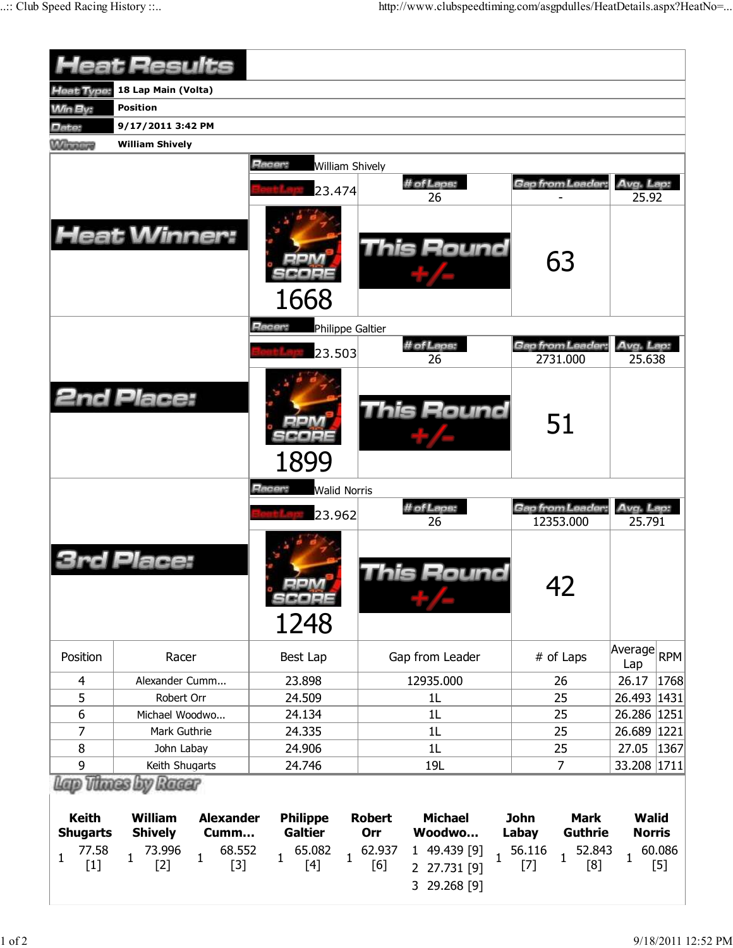|                                 | <b>Heat Results</b>                                                                |                                            |                                                                               |                                                       |                               |
|---------------------------------|------------------------------------------------------------------------------------|--------------------------------------------|-------------------------------------------------------------------------------|-------------------------------------------------------|-------------------------------|
| <b>Heat Type:</b>               | 18 Lap Main (Volta)                                                                |                                            |                                                                               |                                                       |                               |
| <b>Win By:</b>                  | <b>Position</b>                                                                    |                                            |                                                                               |                                                       |                               |
| Date:                           | 9/17/2011 3:42 PM                                                                  |                                            |                                                                               |                                                       |                               |
| <b>Winners</b>                  | <b>William Shively</b>                                                             |                                            |                                                                               |                                                       |                               |
|                                 |                                                                                    | Racer:<br><b>William Shively</b><br>23.474 | # of Laps:<br>26                                                              | Gap from Leader                                       | Avg. Lap:<br>25.92            |
|                                 | <b>Heat Winner:</b>                                                                | 1668                                       | <b>This Round</b>                                                             | 63                                                    |                               |
|                                 |                                                                                    | Racer:<br>Philippe Galtier                 |                                                                               |                                                       |                               |
|                                 |                                                                                    | 23.503                                     | # of Laps:<br>26                                                              | Gap from Leader<br>2731.000                           | Avg. Lap:<br>25.638           |
|                                 | <b>2nd Place:</b>                                                                  | 1899                                       | <b>This Round</b>                                                             | 51                                                    |                               |
|                                 |                                                                                    |                                            |                                                                               |                                                       |                               |
|                                 |                                                                                    | 23.962                                     | # of Laps:                                                                    | Gap from Leader:                                      | Avg. Lap.                     |
|                                 | Place:                                                                             | SCOPE<br>1248                              | 26<br>his Round                                                               | 12353.000<br>42                                       | 25.791                        |
| Position                        | Racer                                                                              | Best Lap                                   | Gap from Leader                                                               | # of Laps                                             | Average RPM<br>Lap            |
| 4                               | Alexander Cumm                                                                     | 23.898                                     | 12935.000                                                                     | 26                                                    | 1768<br>26.17                 |
| 5                               | Robert Orr                                                                         | 24.509                                     | 1L                                                                            | 25                                                    | 26.493 1431                   |
| 6                               | Michael Woodwo                                                                     | 24.134                                     | 1L                                                                            | 25                                                    | 26.286 1251                   |
| 7                               | Mark Guthrie                                                                       | 24.335                                     | 1L                                                                            | 25                                                    | 26.689 1221                   |
| $\bf 8$                         | John Labay                                                                         | 24.906                                     | 1L                                                                            | 25                                                    | 27.05<br>1367                 |
| 9                               | Keith Shugarts                                                                     | 24.746                                     | 19L                                                                           | $\overline{7}$                                        | 33.208 1711                   |
| <b>Keith</b><br><b>Shugarts</b> | Lap Thues by Racer<br><b>William</b><br><b>Alexander</b><br><b>Shively</b><br>Cumm | <b>Philippe</b><br><b>Galtier</b>          | <b>Robert</b><br><b>Michael</b><br>Orr<br>Woodwo                              | <b>John</b><br><b>Mark</b><br><b>Guthrie</b><br>Labay | <b>Walid</b><br><b>Norris</b> |
| 77.58<br>$\mathbf{1}$<br>$[1]$  | 73.996<br>68.552<br>1<br>$\mathbf{1}$<br>$[3]$<br>$[2]$                            | 65.082<br>$\mathbf{1}$<br>1<br>$[4]$       | 62.937<br>1 49.439 [9]<br>$\mathbf{1}$<br>[6]<br>2 27.731 [9]<br>3 29.268 [9] | 56.116<br>52.843<br>$\mathbf 1$<br>$[7]$<br>[8]       | 60.086<br>1<br>$[5]$          |